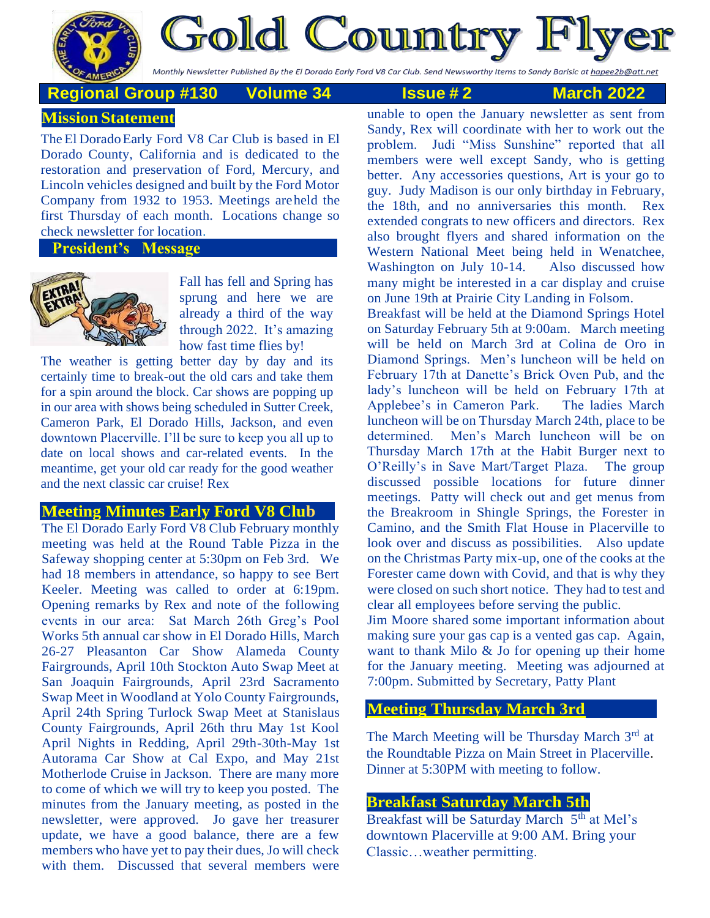

**Fold Country Fl** 

Monthly Newsletter Published By the El Dorado Early Ford V8 Car Club. Send Newsworthy Items to Sandy Barisic at hapee2b@att.net

# **Regional Group #130 Volume 34 Issue # 2 March 2022**

# **Mission Statement**

The El Dorado Early Ford V8 Car Club is based in El Dorado County, California and is dedicated to the restoration and preservation of Ford, Mercury, and Lincoln vehicles designed and built by the Ford Motor Company from 1932 to 1953. Meetings areheld the first Thursday of each month. Locations change so check newsletter for location.

#### **President's Message**



Fall has fell and Spring has sprung and here we are already a third of the way through 2022. It's amazing how fast time flies by!

The weather is getting better day by day and its certainly time to break-out the old cars and take them for a spin around the block. Car shows are popping up in our area with shows being scheduled in Sutter Creek, Cameron Park, El Dorado Hills, Jackson, and even downtown Placerville. I'll be sure to keep you all up to date on local shows and car-related events. In the meantime, get your old car ready for the good weather and the next classic car cruise! Rex

#### **Meeting Minutes Early Ford V8 Club**

The El Dorado Early Ford V8 Club February monthly meeting was held at the Round Table Pizza in the Safeway shopping center at 5:30pm on Feb 3rd. We had 18 members in attendance, so happy to see Bert Keeler. Meeting was called to order at 6:19pm. Opening remarks by Rex and note of the following events in our area: Sat March 26th Greg's Pool Works 5th annual car show in El Dorado Hills, March 26-27 Pleasanton Car Show Alameda County Fairgrounds, April 10th Stockton Auto Swap Meet at San Joaquin Fairgrounds, April 23rd Sacramento Swap Meet in Woodland at Yolo County Fairgrounds, April 24th Spring Turlock Swap Meet at Stanislaus County Fairgrounds, April 26th thru May 1st Kool April Nights in Redding, April 29th-30th-May 1st Autorama Car Show at Cal Expo, and May 21st Motherlode Cruise in Jackson. There are many more to come of which we will try to keep you posted. The minutes from the January meeting, as posted in the newsletter, were approved. Jo gave her treasurer update, we have a good balance, there are a few members who have yet to pay their dues, Jo will check with them. Discussed that several members were

unable to open the January newsletter as sent from Sandy, Rex will coordinate with her to work out the problem. Judi "Miss Sunshine" reported that all members were well except Sandy, who is getting better. Any accessories questions, Art is your go to guy. Judy Madison is our only birthday in February, the 18th, and no anniversaries this month. Rex extended congrats to new officers and directors. Rex also brought flyers and shared information on the Western National Meet being held in Wenatchee, Washington on July 10-14. Also discussed how many might be interested in a car display and cruise on June 19th at Prairie City Landing in Folsom.

Breakfast will be held at the Diamond Springs Hotel on Saturday February 5th at 9:00am. March meeting will be held on March 3rd at Colina de Oro in Diamond Springs. Men's luncheon will be held on February 17th at Danette's Brick Oven Pub, and the lady's luncheon will be held on February 17th at Applebee's in Cameron Park. The ladies March luncheon will be on Thursday March 24th, place to be determined. Men's March luncheon will be on Thursday March 17th at the Habit Burger next to O'Reilly's in Save Mart/Target Plaza. The group discussed possible locations for future dinner meetings. Patty will check out and get menus from the Breakroom in Shingle Springs, the Forester in Camino, and the Smith Flat House in Placerville to look over and discuss as possibilities. Also update on the Christmas Party mix-up, one of the cooks at the Forester came down with Covid, and that is why they were closed on such short notice. They had to test and clear all employees before serving the public.

Jim Moore shared some important information about making sure your gas cap is a vented gas cap. Again, want to thank Milo & Jo for opening up their home for the January meeting. Meeting was adjourned at 7:00pm. Submitted by Secretary, Patty Plant

#### **Meeting Thursday March 3rd**

The March Meeting will be Thursday March  $3<sup>rd</sup>$  at the Roundtable Pizza on Main Street in Placerville. Dinner at 5:30PM with meeting to follow.

### **Breakfast Saturday March 5th**

Breakfast will be Saturday March 5<sup>th</sup> at Mel's downtown Placerville at 9:00 AM. Bring your Classic…weather permitting.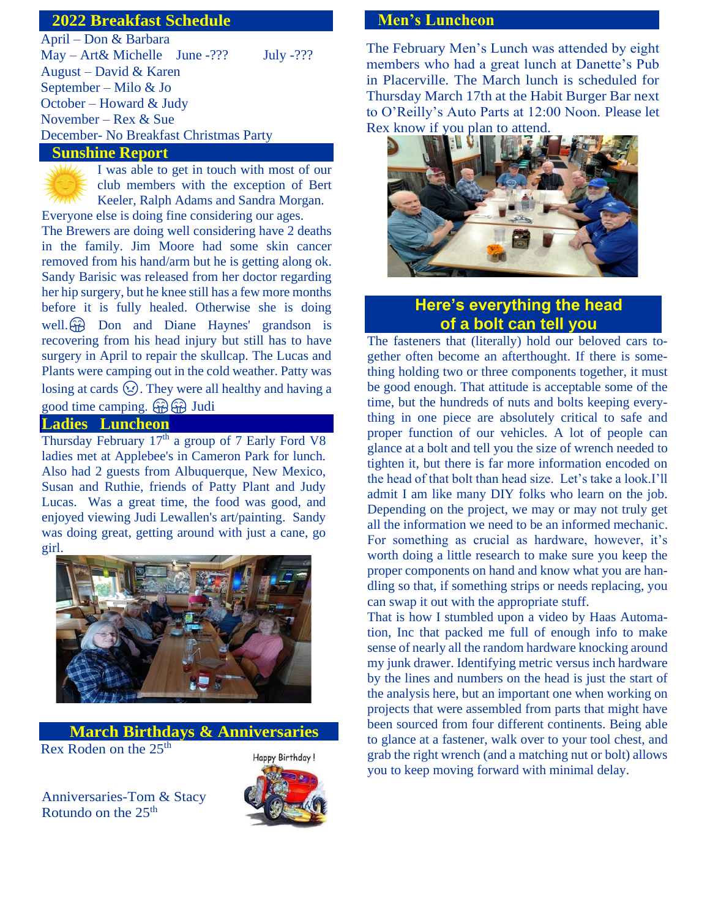# **2022 Breakfast Schedule**

April – Don & Barbara May – Art& Michelle June -??? July -??? August – David & Karen September – Milo & Jo October – Howard & Judy November – Rex & Sue December- No Breakfast Christmas Party

## **Sunshine Report**



I was able to get in touch with most of our club members with the exception of Bert Keeler, Ralph Adams and Sandra Morgan. Everyone else is doing fine considering our ages.

The Brewers are doing well considering have 2 deaths in the family. Jim Moore had some skin cancer removed from his hand/arm but he is getting along ok. Sandy Barisic was released from her doctor regarding her hip surgery, but he knee still has a few more months before it is fully healed. Otherwise she is doing well.  $\widehat{H}$  Don and Diane Haynes' grandson is recovering from his head injury but still has to have surgery in April to repair the skullcap. The Lucas and Plants were camping out in the cold weather. Patty was losing at cards  $\odot$ . They were all healthy and having a good time camping.  $\widehat{H}$   $\widehat{H}$  Judi

### **Ladies Luncheon**

Thursday February  $17<sup>th</sup>$  a group of 7 Early Ford V8 ladies met at Applebee's in Cameron Park for lunch. Also had 2 guests from Albuquerque, New Mexico, Susan and Ruthie, friends of Patty Plant and Judy Lucas. Was a great time, the food was good, and enjoyed viewing Judi Lewallen's art/painting. Sandy was doing great, getting around with just a cane, go girl.



**March Birthdays & Anniversaries**

Rex Roden on the 25<sup>th</sup>

Happy Birthday!

Anniversaries-Tom & Stacy Rotundo on the  $25<sup>th</sup>$ 



## **Men's Luncheon**

The February Men's Lunch was attended by eight members who had a great lunch at Danette's Pub in Placerville. The March lunch is scheduled for Thursday March 17th at the Habit Burger Bar next to O'Reilly's Auto Parts at 12:00 Noon. Please let Rex know if you plan to attend.



# **Here's everything the head of a bolt can tell you**

The fasteners that (literally) hold our beloved cars together often become an afterthought. If there is something holding two or three components together, it must be good enough. That attitude is acceptable some of the time, but the hundreds of nuts and bolts keeping everything in one piece are absolutely critical to safe and proper function of our vehicles. A lot of people can glance at a bolt and tell you the size of wrench needed to tighten it, but there is far more information encoded on the head of that bolt than head size. Let's take a look.I'll admit I am like many DIY folks who learn on the job. Depending on the project, we may or may not truly get all the information we need to be an informed mechanic. For something as crucial as hardware, however, it's worth doing a little research to make sure you keep the proper components on hand and know what you are handling so that, if something strips or needs replacing, you can swap it out with the appropriate stuff.

That is how I stumbled upon a video by Haas Automation, Inc that packed me full of enough info to make sense of nearly all the random hardware knocking around my junk drawer. Identifying metric versus inch hardware by the lines and numbers on the head is just the start of the analysis here, but an important one when working on projects that were assembled from parts that might have been sourced from four different continents. Being able to glance at a fastener, walk over to your tool chest, and grab the right wrench (and a matching nut or bolt) allows you to keep moving forward with minimal delay.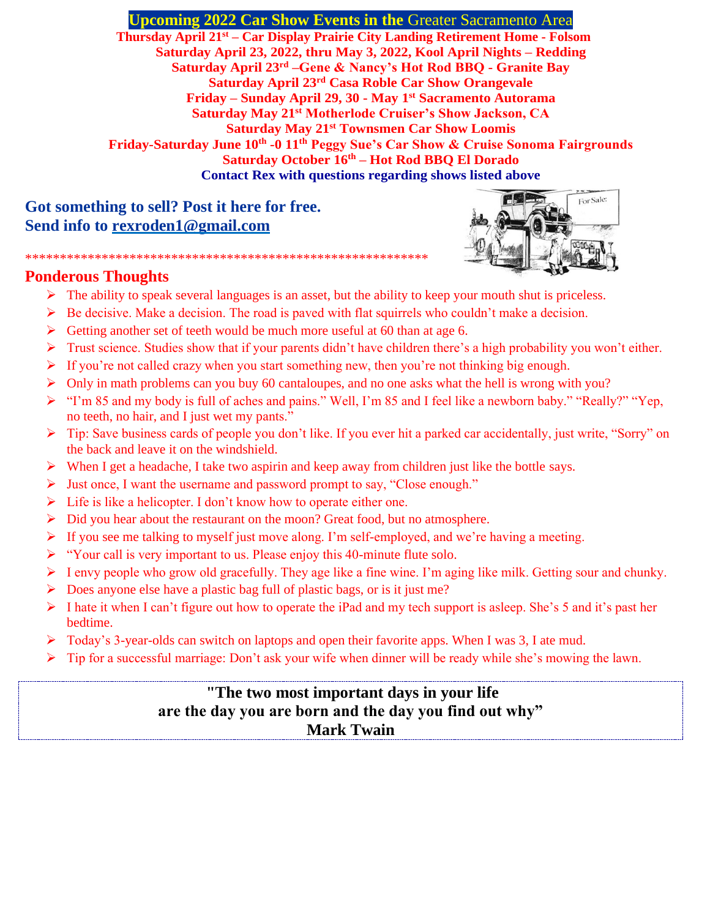#### **Upcoming 2022 Car Show Events in the** Greater Sacramento Area

**Thursday April 21st – Car Display Prairie City Landing Retirement Home - Folsom Saturday April 23, 2022, thru May 3, 2022, Kool April Nights – Redding Saturday April 23rd –Gene & Nancy's Hot Rod BBQ - Granite Bay Saturday April 23rd Casa Roble Car Show Orangevale Friday – Sunday April 29, 30 - May 1st Sacramento Autorama Saturday May 21st Motherlode Cruiser's Show Jackson, CA Saturday May 21st Townsmen Car Show Loomis Friday-Saturday June 10th -0 11th Peggy Sue's Car Show & Cruise Sonoma Fairgrounds Saturday October 16th – Hot Rod BBQ El Dorado Contact Rex with questions regarding shows listed above**

**Got something to sell? Post it here for free. Send info to [rex](mailto:rexroden1@gmail.com)roden1@gmail.com**



# **Ponderous Thoughts**

- $\triangleright$  The ability to speak several languages is an asset, but the ability to keep your mouth shut is priceless.
- $\triangleright$  Be decisive. Make a decision. The road is paved with flat squirrels who couldn't make a decision.
- $\triangleright$  Getting another set of teeth would be much more useful at 60 than at age 6.

\*\*\*\*\*\*\*\*\*\*\*\*\*\*\*\*\*\*\*\*\*\*\*\*\*\*\*\*\*\*\*\*\*\*\*\*\*\*\*\*\*\*\*\*\*\*\*\*\*\*\*\*\*\*\*\*\*\*

- $\triangleright$  Trust science. Studies show that if your parents didn't have children there's a high probability you won't either.
- ➢ If you're not called crazy when you start something new, then you're not thinking big enough.
- $\triangleright$  Only in math problems can you buy 60 cantaloupes, and no one asks what the hell is wrong with you?
- ➢ "I'm 85 and my body is full of aches and pains." Well, I'm 85 and I feel like a newborn baby." "Really?" "Yep, no teeth, no hair, and I just wet my pants."
- ➢ Tip: Save business cards of people you don't like. If you ever hit a parked car accidentally, just write, "Sorry" on the back and leave it on the windshield.
- $\triangleright$  When I get a headache, I take two aspirin and keep away from children just like the bottle says.
- ➢ Just once, I want the username and password prompt to say, "Close enough."
- $\triangleright$  Life is like a helicopter. I don't know how to operate either one.
- $\triangleright$  Did you hear about the restaurant on the moon? Great food, but no atmosphere.
- $\triangleright$  If you see me talking to myself just move along. I'm self-employed, and we're having a meeting.
- ➢ "Your call is very important to us. Please enjoy this 40-minute flute solo.
- $\triangleright$  I envy people who grow old gracefully. They age like a fine wine. I'm aging like milk. Getting sour and chunky.
- ➢ Does anyone else have a plastic bag full of plastic bags, or is it just me?
- ➢ I hate it when I can't figure out how to operate the iPad and my tech support is asleep. She's 5 and it's past her bedtime.
- $\triangleright$  Today's 3-year-olds can switch on laptops and open their favorite apps. When I was 3, I ate mud.
- ➢ Tip for a successful marriage: Don't ask your wife when dinner will be ready while she's mowing the lawn.

# **"The two most important days in your life are the day you are born and the day you find out why" Mark Twain**